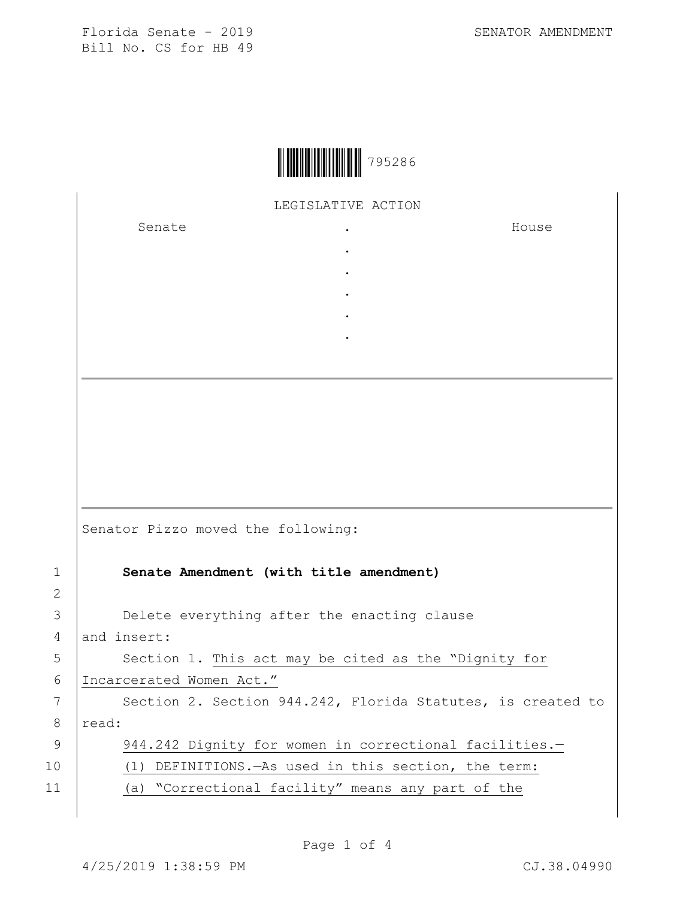

LEGISLATIVE ACTION

. . . . .

Senate .

House

|                | Senator Pizzo moved the following:                          |
|----------------|-------------------------------------------------------------|
| 1              | Senate Amendment (with title amendment)                     |
| $\overline{2}$ |                                                             |
| 3              | Delete everything after the enacting clause                 |
| 4              | and insert:                                                 |
| 5              | Section 1. This act may be cited as the "Dignity for        |
| 6              | Incarcerated Women Act."                                    |
| 7              | Section 2. Section 944.242, Florida Statutes, is created to |
| 8              | read:                                                       |
| 9              | 944.242 Dignity for women in correctional facilities.-      |
| 10             | DEFINITIONS. - As used in this section, the term:<br>(1)    |
| 11             | (a) "Correctional facility" means any part of the           |
|                |                                                             |

Page 1 of 4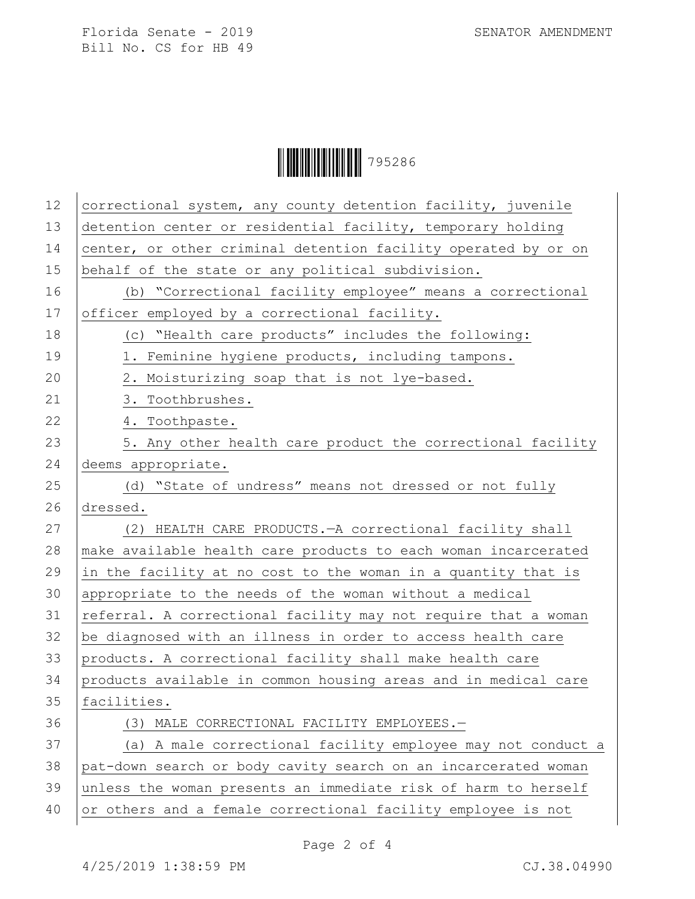Ì795286QÎ795286

| 12 | correctional system, any county detention facility, juvenile   |
|----|----------------------------------------------------------------|
| 13 | detention center or residential facility, temporary holding    |
| 14 | center, or other criminal detention facility operated by or on |
| 15 | behalf of the state or any political subdivision.              |
| 16 | (b) "Correctional facility employee" means a correctional      |
| 17 | officer employed by a correctional facility.                   |
| 18 | (c) "Health care products" includes the following:             |
| 19 | 1. Feminine hygiene products, including tampons.               |
| 20 | 2. Moisturizing soap that is not lye-based.                    |
| 21 | 3. Toothbrushes.                                               |
| 22 | 4. Toothpaste.                                                 |
| 23 | 5. Any other health care product the correctional facility     |
| 24 | deems appropriate.                                             |
| 25 | (d) "State of undress" means not dressed or not fully          |
| 26 | dressed.                                                       |
| 27 | (2) HEALTH CARE PRODUCTS. - A correctional facility shall      |
| 28 | make available health care products to each woman incarcerated |
| 29 | in the facility at no cost to the woman in a quantity that is  |
| 30 | appropriate to the needs of the woman without a medical        |
| 31 | referral. A correctional facility may not require that a woman |
| 32 | be diagnosed with an illness in order to access health care    |
| 33 | products. A correctional facility shall make health care       |
| 34 | products available in common housing areas and in medical care |
| 35 | facilities.                                                    |
| 36 | (3) MALE CORRECTIONAL FACILITY EMPLOYEES.-                     |
| 37 | (a) A male correctional facility employee may not conduct a    |
| 38 | pat-down search or body cavity search on an incarcerated woman |
| 39 | unless the woman presents an immediate risk of harm to herself |
| 40 | or others and a female correctional facility employee is not   |
|    |                                                                |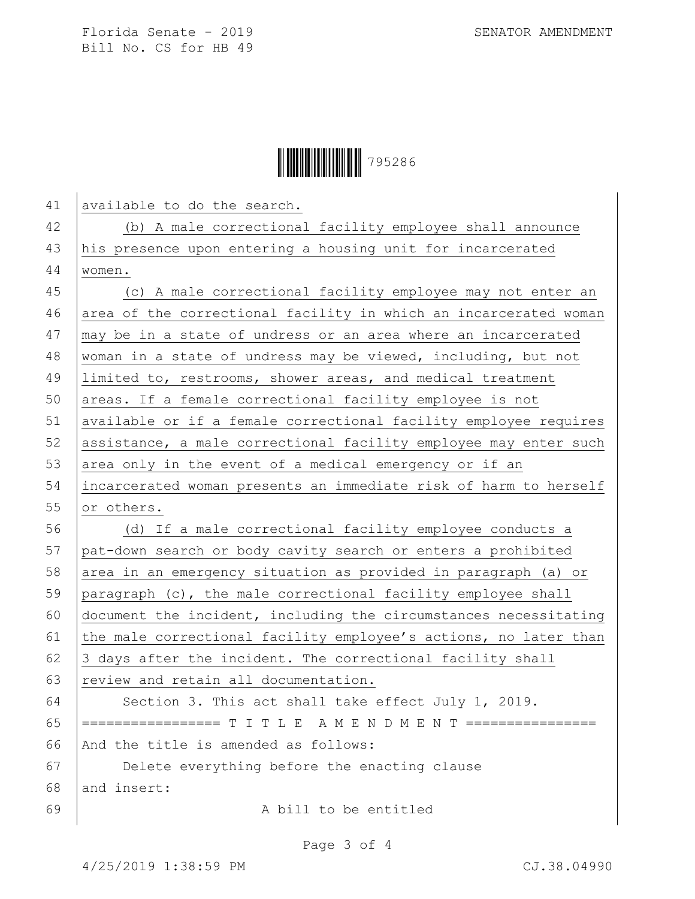

| 41 | available to do the search.                                      |
|----|------------------------------------------------------------------|
| 42 | (b) A male correctional facility employee shall announce         |
| 43 | his presence upon entering a housing unit for incarcerated       |
| 44 | women.                                                           |
| 45 | (c) A male correctional facility employee may not enter an       |
| 46 | area of the correctional facility in which an incarcerated woman |
| 47 | may be in a state of undress or an area where an incarcerated    |
| 48 | woman in a state of undress may be viewed, including, but not    |
| 49 | limited to, restrooms, shower areas, and medical treatment       |
| 50 | areas. If a female correctional facility employee is not         |
| 51 | available or if a female correctional facility employee requires |
| 52 | assistance, a male correctional facility employee may enter such |
| 53 | area only in the event of a medical emergency or if an           |
| 54 | incarcerated woman presents an immediate risk of harm to herself |
| 55 | or others.                                                       |
| 56 | (d) If a male correctional facility employee conducts a          |
| 57 | pat-down search or body cavity search or enters a prohibited     |
| 58 | area in an emergency situation as provided in paragraph (a) or   |
| 59 | paragraph (c), the male correctional facility employee shall     |
| 60 | document the incident, including the circumstances necessitating |
| 61 | the male correctional facility employee's actions, no later than |
| 62 | 3 days after the incident. The correctional facility shall       |
| 63 | review and retain all documentation.                             |
| 64 | Section 3. This act shall take effect July 1, 2019.              |
| 65 | ================= T I T L E A M E N D M E N T ================   |
| 66 | And the title is amended as follows:                             |
| 67 | Delete everything before the enacting clause                     |
| 68 | and insert:                                                      |
| 69 | A bill to be entitled                                            |

Page 3 of 4